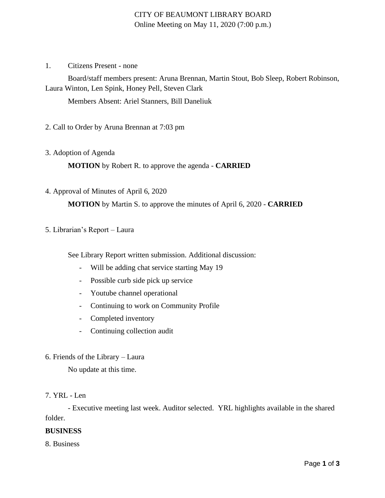# CITY OF BEAUMONT LIBRARY BOARD Online Meeting on May 11, 2020 (7:00 p.m.)

1. Citizens Present - none

Board/staff members present: Aruna Brennan, Martin Stout, Bob Sleep, Robert Robinson, Laura Winton, Len Spink, Honey Pell, Steven Clark

Members Absent: Ariel Stanners, Bill Daneliuk

2. Call to Order by Aruna Brennan at 7:03 pm

3. Adoption of Agenda

**MOTION** by Robert R. to approve the agenda - **CARRIED**

4. Approval of Minutes of April 6, 2020

**MOTION** by Martin S. to approve the minutes of April 6, 2020 - **CARRIED**

### 5. Librarian's Report – Laura

See Library Report written submission. Additional discussion:

- Will be adding chat service starting May 19
- Possible curb side pick up service
- Youtube channel operational
- Continuing to work on Community Profile
- Completed inventory
- Continuing collection audit
- 6. Friends of the Library Laura

No update at this time.

### 7. YRL - Len

- Executive meeting last week. Auditor selected. YRL highlights available in the shared folder.

## **BUSINESS**

8. Business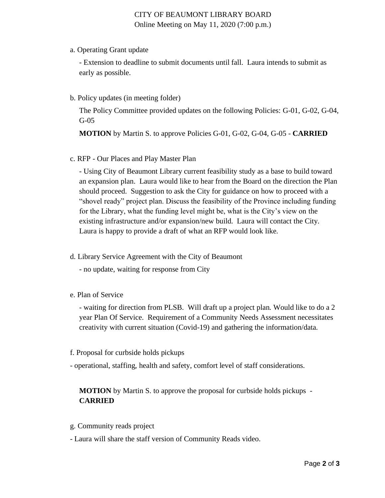# CITY OF BEAUMONT LIBRARY BOARD Online Meeting on May 11, 2020 (7:00 p.m.)

a. Operating Grant update

- Extension to deadline to submit documents until fall. Laura intends to submit as early as possible.

b. Policy updates (in meeting folder)

The Policy Committee provided updates on the following Policies: G-01, G-02, G-04, G-05

**MOTION** by Martin S. to approve Policies G-01, G-02, G-04, G-05 - **CARRIED**

c. RFP - Our Places and Play Master Plan

- Using City of Beaumont Library current feasibility study as a base to build toward an expansion plan. Laura would like to hear from the Board on the direction the Plan should proceed. Suggestion to ask the City for guidance on how to proceed with a "shovel ready" project plan. Discuss the feasibility of the Province including funding for the Library, what the funding level might be, what is the City's view on the existing infrastructure and/or expansion/new build. Laura will contact the City. Laura is happy to provide a draft of what an RFP would look like.

- d. Library Service Agreement with the City of Beaumont
	- no update, waiting for response from City
- e. Plan of Service

- waiting for direction from PLSB. Will draft up a project plan. Would like to do a 2 year Plan Of Service. Requirement of a Community Needs Assessment necessitates creativity with current situation (Covid-19) and gathering the information/data.

- f. Proposal for curbside holds pickups
- operational, staffing, health and safety, comfort level of staff considerations.

# **MOTION** by Martin S. to approve the proposal for curbside holds pickups - **CARRIED**

- g. Community reads project
- Laura will share the staff version of Community Reads video.